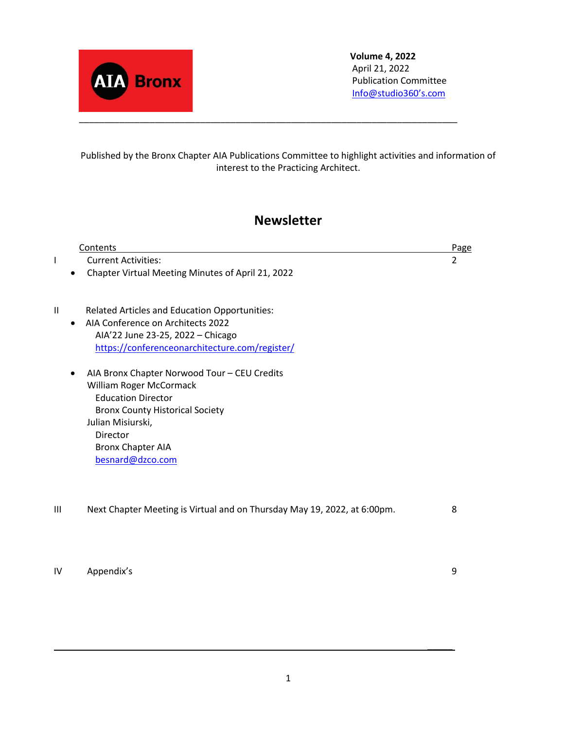

**Volume 4, 2022** April 21, 2022 Publication Committee [Info@studio360's.com](mailto:Info@studio360%E2%80%99s.com)

Published by the Bronx Chapter AIA Publications Committee to highlight activities and information of interest to the Practicing Architect.

## **Newsletter**

|    | Contents                                                                           | <b>Page</b> |
|----|------------------------------------------------------------------------------------|-------------|
|    | <b>Current Activities:</b>                                                         | 2           |
|    | Chapter Virtual Meeting Minutes of April 21, 2022                                  |             |
| II |                                                                                    |             |
|    | Related Articles and Education Opportunities:<br>AIA Conference on Architects 2022 |             |
|    | AIA'22 June 23-25, 2022 - Chicago                                                  |             |
|    | https://conferenceonarchitecture.com/register/                                     |             |
|    | AIA Bronx Chapter Norwood Tour - CEU Credits                                       |             |
|    | William Roger McCormack                                                            |             |
|    | <b>Education Director</b>                                                          |             |
|    | <b>Bronx County Historical Society</b>                                             |             |
|    | Julian Misiurski,<br>Director                                                      |             |
|    | <b>Bronx Chapter AIA</b>                                                           |             |
|    | besnard@dzco.com                                                                   |             |
|    |                                                                                    |             |
| Ш  | Next Chapter Meeting is Virtual and on Thursday May 19, 2022, at 6:00pm.           | 8           |
|    |                                                                                    |             |
|    |                                                                                    |             |
|    |                                                                                    |             |

IV Appendix's 9

\_\_\_\_\_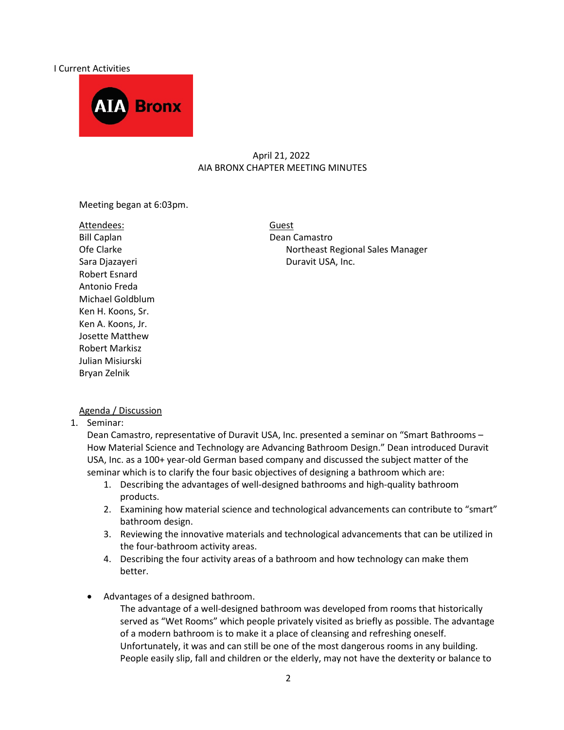#### I Current Activities



#### April 21, 2022 AIA BRONX CHAPTER MEETING MINUTES

Meeting began at 6:03pm.

Attendees: Guest Bill Caplan Dean Camastro Robert Esnard Antonio Freda Michael Goldblum Ken H. Koons, Sr. Ken A. Koons, Jr. Josette Matthew Robert Markisz Julian Misiurski Bryan Zelnik

Ofe Clarke **Northeast Regional Sales Manager** Northeast Regional Sales Manager Sara Djazayeri **Duravit USA, Inc.** 

#### Agenda / Discussion

1. Seminar:

Dean Camastro, representative of Duravit USA, Inc. presented a seminar on "Smart Bathrooms – How Material Science and Technology are Advancing Bathroom Design." Dean introduced Duravit USA, Inc. as a 100+ year-old German based company and discussed the subject matter of the seminar which is to clarify the four basic objectives of designing a bathroom which are:

- 1. Describing the advantages of well-designed bathrooms and high-quality bathroom products.
- 2. Examining how material science and technological advancements can contribute to "smart" bathroom design.
- 3. Reviewing the innovative materials and technological advancements that can be utilized in the four-bathroom activity areas.
- 4. Describing the four activity areas of a bathroom and how technology can make them better.
- Advantages of a designed bathroom.

The advantage of a well-designed bathroom was developed from rooms that historically served as "Wet Rooms" which people privately visited as briefly as possible. The advantage of a modern bathroom is to make it a place of cleansing and refreshing oneself. Unfortunately, it was and can still be one of the most dangerous rooms in any building. People easily slip, fall and children or the elderly, may not have the dexterity or balance to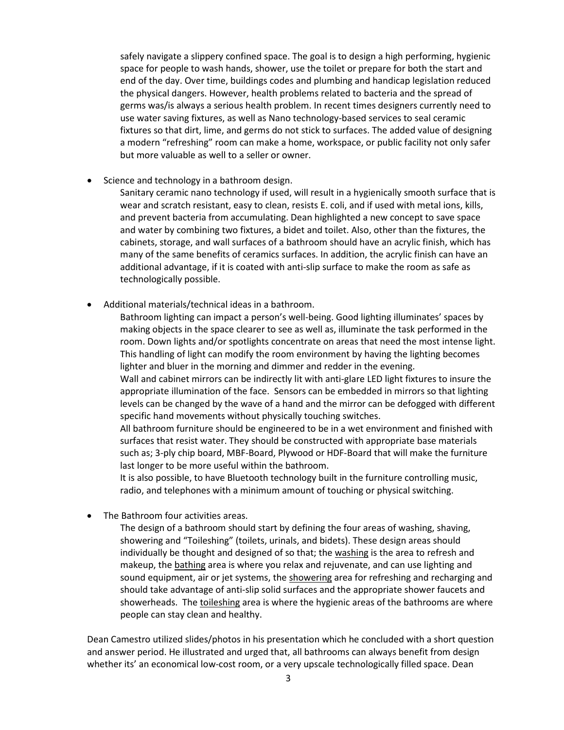safely navigate a slippery confined space. The goal is to design a high performing, hygienic space for people to wash hands, shower, use the toilet or prepare for both the start and end of the day. Over time, buildings codes and plumbing and handicap legislation reduced the physical dangers. However, health problems related to bacteria and the spread of germs was/is always a serious health problem. In recent times designers currently need to use water saving fixtures, as well as Nano technology-based services to seal ceramic fixtures so that dirt, lime, and germs do not stick to surfaces. The added value of designing a modern "refreshing" room can make a home, workspace, or public facility not only safer but more valuable as well to a seller or owner.

Science and technology in a bathroom design.

Sanitary ceramic nano technology if used, will result in a hygienically smooth surface that is wear and scratch resistant, easy to clean, resists E. coli, and if used with metal ions, kills, and prevent bacteria from accumulating. Dean highlighted a new concept to save space and water by combining two fixtures, a bidet and toilet. Also, other than the fixtures, the cabinets, storage, and wall surfaces of a bathroom should have an acrylic finish, which has many of the same benefits of ceramics surfaces. In addition, the acrylic finish can have an additional advantage, if it is coated with anti-slip surface to make the room as safe as technologically possible.

• Additional materials/technical ideas in a bathroom.

Bathroom lighting can impact a person's well-being. Good lighting illuminates' spaces by making objects in the space clearer to see as well as, illuminate the task performed in the room. Down lights and/or spotlights concentrate on areas that need the most intense light. This handling of light can modify the room environment by having the lighting becomes lighter and bluer in the morning and dimmer and redder in the evening.

Wall and cabinet mirrors can be indirectly lit with anti-glare LED light fixtures to insure the appropriate illumination of the face. Sensors can be embedded in mirrors so that lighting levels can be changed by the wave of a hand and the mirror can be defogged with different specific hand movements without physically touching switches.

All bathroom furniture should be engineered to be in a wet environment and finished with surfaces that resist water. They should be constructed with appropriate base materials such as; 3-ply chip board, MBF-Board, Plywood or HDF-Board that will make the furniture last longer to be more useful within the bathroom.

It is also possible, to have Bluetooth technology built in the furniture controlling music, radio, and telephones with a minimum amount of touching or physical switching.

The Bathroom four activities areas.

The design of a bathroom should start by defining the four areas of washing, shaving, showering and "Toileshing" (toilets, urinals, and bidets). These design areas should individually be thought and designed of so that; the washing is the area to refresh and makeup, the bathing area is where you relax and rejuvenate, and can use lighting and sound equipment, air or jet systems, the showering area for refreshing and recharging and should take advantage of anti-slip solid surfaces and the appropriate shower faucets and showerheads. The toileshing area is where the hygienic areas of the bathrooms are where people can stay clean and healthy.

Dean Camestro utilized slides/photos in his presentation which he concluded with a short question and answer period. He illustrated and urged that, all bathrooms can always benefit from design whether its' an economical low-cost room, or a very upscale technologically filled space. Dean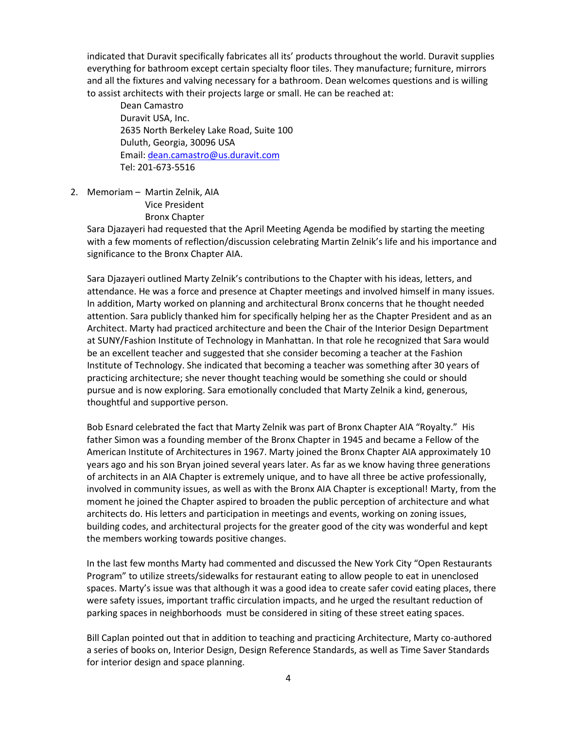indicated that Duravit specifically fabricates all its' products throughout the world. Duravit supplies everything for bathroom except certain specialty floor tiles. They manufacture; furniture, mirrors and all the fixtures and valving necessary for a bathroom. Dean welcomes questions and is willing to assist architects with their projects large or small. He can be reached at:

 Dean Camastro Duravit USA, Inc. 2635 North Berkeley Lake Road, Suite 100 Duluth, Georgia, 30096 USA Email: [dean.camastro@us.duravit.com](mailto:dean.camastro@us.duravit.com) Tel: 201-673-5516

2. Memoriam – Martin Zelnik, AIA

Vice President

Bronx Chapter

Sara Djazayeri had requested that the April Meeting Agenda be modified by starting the meeting with a few moments of reflection/discussion celebrating Martin Zelnik's life and his importance and significance to the Bronx Chapter AIA.

Sara Djazayeri outlined Marty Zelnik's contributions to the Chapter with his ideas, letters, and attendance. He was a force and presence at Chapter meetings and involved himself in many issues. In addition, Marty worked on planning and architectural Bronx concerns that he thought needed attention. Sara publicly thanked him for specifically helping her as the Chapter President and as an Architect. Marty had practiced architecture and been the Chair of the Interior Design Department at SUNY/Fashion Institute of Technology in Manhattan. In that role he recognized that Sara would be an excellent teacher and suggested that she consider becoming a teacher at the Fashion Institute of Technology. She indicated that becoming a teacher was something after 30 years of practicing architecture; she never thought teaching would be something she could or should pursue and is now exploring. Sara emotionally concluded that Marty Zelnik a kind, generous, thoughtful and supportive person.

Bob Esnard celebrated the fact that Marty Zelnik was part of Bronx Chapter AIA "Royalty." His father Simon was a founding member of the Bronx Chapter in 1945 and became a Fellow of the American Institute of Architectures in 1967. Marty joined the Bronx Chapter AIA approximately 10 years ago and his son Bryan joined several years later. As far as we know having three generations of architects in an AIA Chapter is extremely unique, and to have all three be active professionally, involved in community issues, as well as with the Bronx AIA Chapter is exceptional! Marty, from the moment he joined the Chapter aspired to broaden the public perception of architecture and what architects do. His letters and participation in meetings and events, working on zoning issues, building codes, and architectural projects for the greater good of the city was wonderful and kept the members working towards positive changes.

In the last few months Marty had commented and discussed the New York City "Open Restaurants Program" to utilize streets/sidewalks for restaurant eating to allow people to eat in unenclosed spaces. Marty's issue was that although it was a good idea to create safer covid eating places, there were safety issues, important traffic circulation impacts, and he urged the resultant reduction of parking spaces in neighborhoods must be considered in siting of these street eating spaces.

Bill Caplan pointed out that in addition to teaching and practicing Architecture, Marty co-authored a series of books on, Interior Design, Design Reference Standards, as well as Time Saver Standards for interior design and space planning.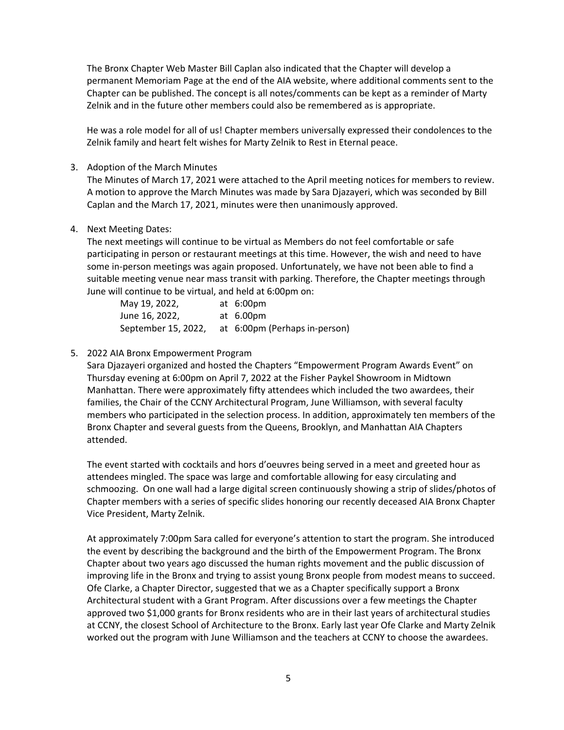The Bronx Chapter Web Master Bill Caplan also indicated that the Chapter will develop a permanent Memoriam Page at the end of the AIA website, where additional comments sent to the Chapter can be published. The concept is all notes/comments can be kept as a reminder of Marty Zelnik and in the future other members could also be remembered as is appropriate.

He was a role model for all of us! Chapter members universally expressed their condolences to the Zelnik family and heart felt wishes for Marty Zelnik to Rest in Eternal peace.

3. Adoption of the March Minutes

The Minutes of March 17, 2021 were attached to the April meeting notices for members to review. A motion to approve the March Minutes was made by Sara Djazayeri, which was seconded by Bill Caplan and the March 17, 2021, minutes were then unanimously approved.

4. Next Meeting Dates:

The next meetings will continue to be virtual as Members do not feel comfortable or safe participating in person or restaurant meetings at this time. However, the wish and need to have some in-person meetings was again proposed. Unfortunately, we have not been able to find a suitable meeting venue near mass transit with parking. Therefore, the Chapter meetings through June will continue to be virtual, and held at 6:00pm on:

| May 19, 2022,       | at 6:00pm                     |
|---------------------|-------------------------------|
| June 16, 2022,      | at 6.00pm                     |
| September 15, 2022, | at 6:00pm (Perhaps in-person) |

#### 5. 2022 AIA Bronx Empowerment Program

Sara Djazayeri organized and hosted the Chapters "Empowerment Program Awards Event" on Thursday evening at 6:00pm on April 7, 2022 at the Fisher Paykel Showroom in Midtown Manhattan. There were approximately fifty attendees which included the two awardees, their families, the Chair of the CCNY Architectural Program, June Williamson, with several faculty members who participated in the selection process. In addition, approximately ten members of the Bronx Chapter and several guests from the Queens, Brooklyn, and Manhattan AIA Chapters attended.

The event started with cocktails and hors d'oeuvres being served in a meet and greeted hour as attendees mingled. The space was large and comfortable allowing for easy circulating and schmoozing. On one wall had a large digital screen continuously showing a strip of slides/photos of Chapter members with a series of specific slides honoring our recently deceased AIA Bronx Chapter Vice President, Marty Zelnik.

At approximately 7:00pm Sara called for everyone's attention to start the program. She introduced the event by describing the background and the birth of the Empowerment Program. The Bronx Chapter about two years ago discussed the human rights movement and the public discussion of improving life in the Bronx and trying to assist young Bronx people from modest means to succeed. Ofe Clarke, a Chapter Director, suggested that we as a Chapter specifically support a Bronx Architectural student with a Grant Program. After discussions over a few meetings the Chapter approved two \$1,000 grants for Bronx residents who are in their last years of architectural studies at CCNY, the closest School of Architecture to the Bronx. Early last year Ofe Clarke and Marty Zelnik worked out the program with June Williamson and the teachers at CCNY to choose the awardees.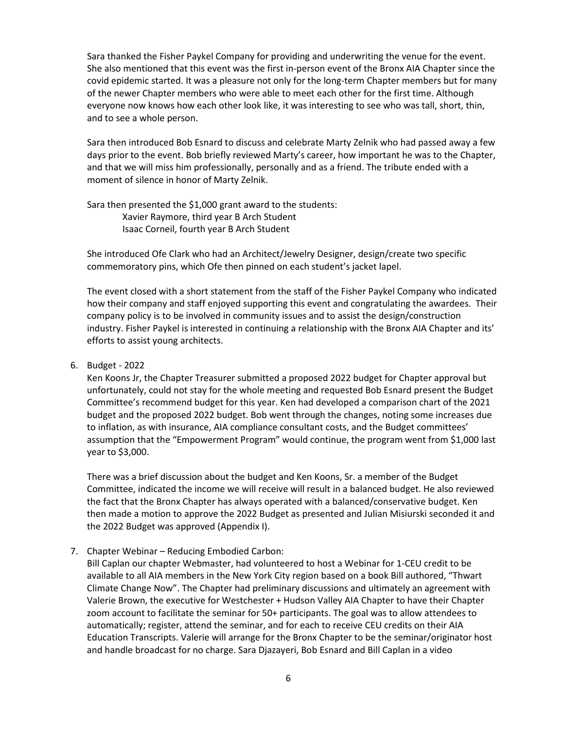Sara thanked the Fisher Paykel Company for providing and underwriting the venue for the event. She also mentioned that this event was the first in-person event of the Bronx AIA Chapter since the covid epidemic started. It was a pleasure not only for the long-term Chapter members but for many of the newer Chapter members who were able to meet each other for the first time. Although everyone now knows how each other look like, it was interesting to see who was tall, short, thin, and to see a whole person.

Sara then introduced Bob Esnard to discuss and celebrate Marty Zelnik who had passed away a few days prior to the event. Bob briefly reviewed Marty's career, how important he was to the Chapter, and that we will miss him professionally, personally and as a friend. The tribute ended with a moment of silence in honor of Marty Zelnik.

Sara then presented the \$1,000 grant award to the students: Xavier Raymore, third year B Arch Student Isaac Corneil, fourth year B Arch Student

She introduced Ofe Clark who had an Architect/Jewelry Designer, design/create two specific commemoratory pins, which Ofe then pinned on each student's jacket lapel.

The event closed with a short statement from the staff of the Fisher Paykel Company who indicated how their company and staff enjoyed supporting this event and congratulating the awardees. Their company policy is to be involved in community issues and to assist the design/construction industry. Fisher Paykel is interested in continuing a relationship with the Bronx AIA Chapter and its' efforts to assist young architects.

#### 6. Budget - 2022

Ken Koons Jr, the Chapter Treasurer submitted a proposed 2022 budget for Chapter approval but unfortunately, could not stay for the whole meeting and requested Bob Esnard present the Budget Committee's recommend budget for this year. Ken had developed a comparison chart of the 2021 budget and the proposed 2022 budget. Bob went through the changes, noting some increases due to inflation, as with insurance, AIA compliance consultant costs, and the Budget committees' assumption that the "Empowerment Program" would continue, the program went from \$1,000 last year to \$3,000.

There was a brief discussion about the budget and Ken Koons, Sr. a member of the Budget Committee, indicated the income we will receive will result in a balanced budget. He also reviewed the fact that the Bronx Chapter has always operated with a balanced/conservative budget. Ken then made a motion to approve the 2022 Budget as presented and Julian Misiurski seconded it and the 2022 Budget was approved (Appendix I).

#### 7. Chapter Webinar – Reducing Embodied Carbon:

Bill Caplan our chapter Webmaster, had volunteered to host a Webinar for 1-CEU credit to be available to all AIA members in the New York City region based on a book Bill authored, "Thwart Climate Change Now". The Chapter had preliminary discussions and ultimately an agreement with Valerie Brown, the executive for Westchester + Hudson Valley AIA Chapter to have their Chapter zoom account to facilitate the seminar for 50+ participants. The goal was to allow attendees to automatically; register, attend the seminar, and for each to receive CEU credits on their AIA Education Transcripts. Valerie will arrange for the Bronx Chapter to be the seminar/originator host and handle broadcast for no charge. Sara Djazayeri, Bob Esnard and Bill Caplan in a video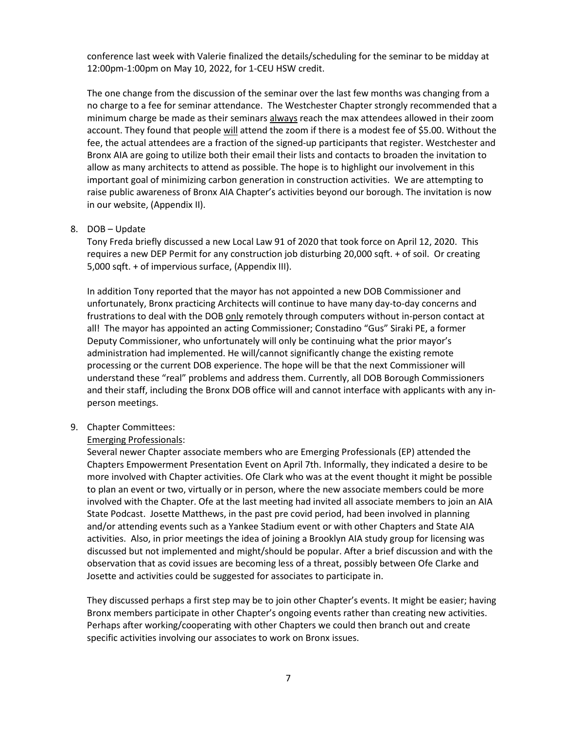conference last week with Valerie finalized the details/scheduling for the seminar to be midday at 12:00pm-1:00pm on May 10, 2022, for 1-CEU HSW credit.

The one change from the discussion of the seminar over the last few months was changing from a no charge to a fee for seminar attendance. The Westchester Chapter strongly recommended that a minimum charge be made as their seminars always reach the max attendees allowed in their zoom account. They found that people will attend the zoom if there is a modest fee of \$5.00. Without the fee, the actual attendees are a fraction of the signed-up participants that register. Westchester and Bronx AIA are going to utilize both their email their lists and contacts to broaden the invitation to allow as many architects to attend as possible. The hope is to highlight our involvement in this important goal of minimizing carbon generation in construction activities. We are attempting to raise public awareness of Bronx AIA Chapter's activities beyond our borough. The invitation is now in our website, (Appendix II).

#### 8. DOB – Update

Tony Freda briefly discussed a new Local Law 91 of 2020 that took force on April 12, 2020. This requires a new DEP Permit for any construction job disturbing 20,000 sqft. + of soil. Or creating 5,000 sqft. + of impervious surface, (Appendix III).

In addition Tony reported that the mayor has not appointed a new DOB Commissioner and unfortunately, Bronx practicing Architects will continue to have many day-to-day concerns and frustrations to deal with the DOB only remotely through computers without in-person contact at all! The mayor has appointed an acting Commissioner; Constadino "Gus" Siraki PE, a former Deputy Commissioner, who unfortunately will only be continuing what the prior mayor's administration had implemented. He will/cannot significantly change the existing remote processing or the current DOB experience. The hope will be that the next Commissioner will understand these "real" problems and address them. Currently, all DOB Borough Commissioners and their staff, including the Bronx DOB office will and cannot interface with applicants with any inperson meetings.

#### 9. Chapter Committees:

#### Emerging Professionals:

Several newer Chapter associate members who are Emerging Professionals (EP) attended the Chapters Empowerment Presentation Event on April 7th. Informally, they indicated a desire to be more involved with Chapter activities. Ofe Clark who was at the event thought it might be possible to plan an event or two, virtually or in person, where the new associate members could be more involved with the Chapter. Ofe at the last meeting had invited all associate members to join an AIA State Podcast. Josette Matthews, in the past pre covid period, had been involved in planning and/or attending events such as a Yankee Stadium event or with other Chapters and State AIA activities. Also, in prior meetings the idea of joining a Brooklyn AIA study group for licensing was discussed but not implemented and might/should be popular. After a brief discussion and with the observation that as covid issues are becoming less of a threat, possibly between Ofe Clarke and Josette and activities could be suggested for associates to participate in.

They discussed perhaps a first step may be to join other Chapter's events. It might be easier; having Bronx members participate in other Chapter's ongoing events rather than creating new activities. Perhaps after working/cooperating with other Chapters we could then branch out and create specific activities involving our associates to work on Bronx issues.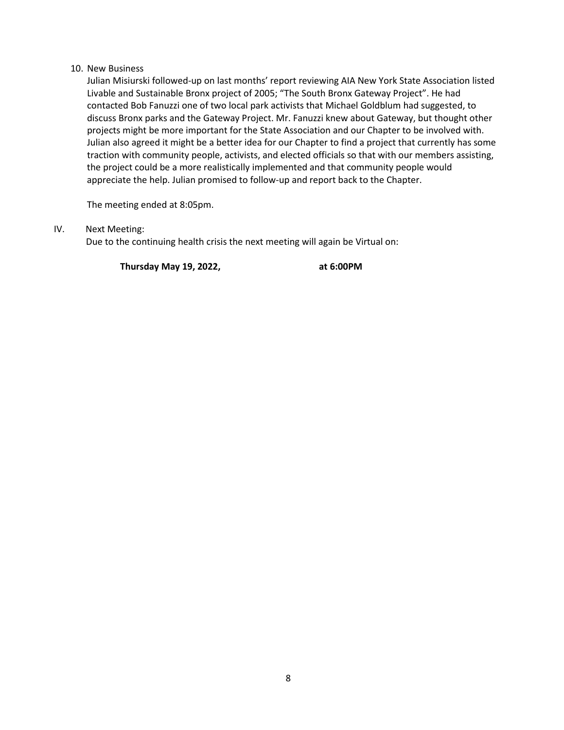#### 10. New Business

Julian Misiurski followed-up on last months' report reviewing AIA New York State Association listed Livable and Sustainable Bronx project of 2005; "The South Bronx Gateway Project". He had contacted Bob Fanuzzi one of two local park activists that Michael Goldblum had suggested, to discuss Bronx parks and the Gateway Project. Mr. Fanuzzi knew about Gateway, but thought other projects might be more important for the State Association and our Chapter to be involved with. Julian also agreed it might be a better idea for our Chapter to find a project that currently has some traction with community people, activists, and elected officials so that with our members assisting, the project could be a more realistically implemented and that community people would appreciate the help. Julian promised to follow-up and report back to the Chapter.

The meeting ended at 8:05pm.

IV. Next Meeting:

Due to the continuing health crisis the next meeting will again be Virtual on:

**Thursday May 19, 2022, at 6:00PM**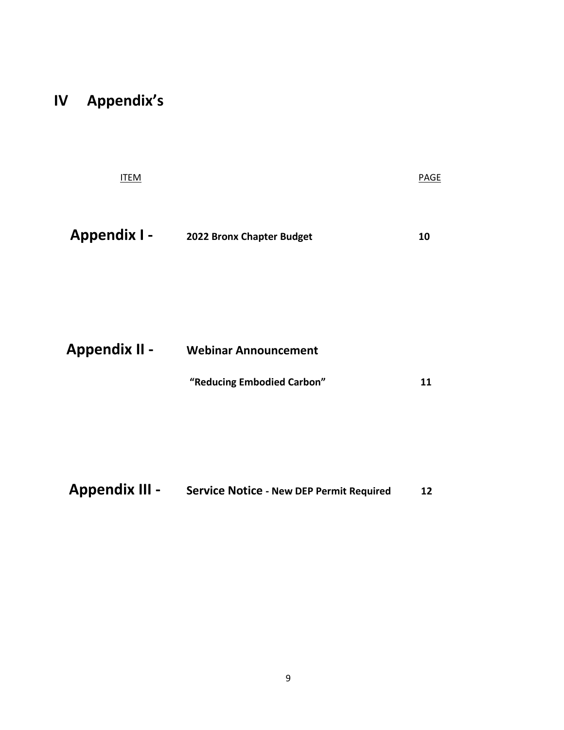# **IV Appendix's**

| <b>ITEM</b> |  |  |  | <b>PAGE</b> |
|-------------|--|--|--|-------------|
|             |  |  |  |             |
|             |  |  |  |             |

| <b>Appendix I -</b> | 2022 Bronx Chapter Budget | 10 |
|---------------------|---------------------------|----|
|---------------------|---------------------------|----|

| <b>Appendix II -</b> | <b>Webinar Announcement</b> |    |
|----------------------|-----------------------------|----|
|                      | "Reducing Embodied Carbon"  | 11 |

| <b>Appendix III -</b> | <b>Service Notice - New DEP Permit Required</b> | 12 |
|-----------------------|-------------------------------------------------|----|
|-----------------------|-------------------------------------------------|----|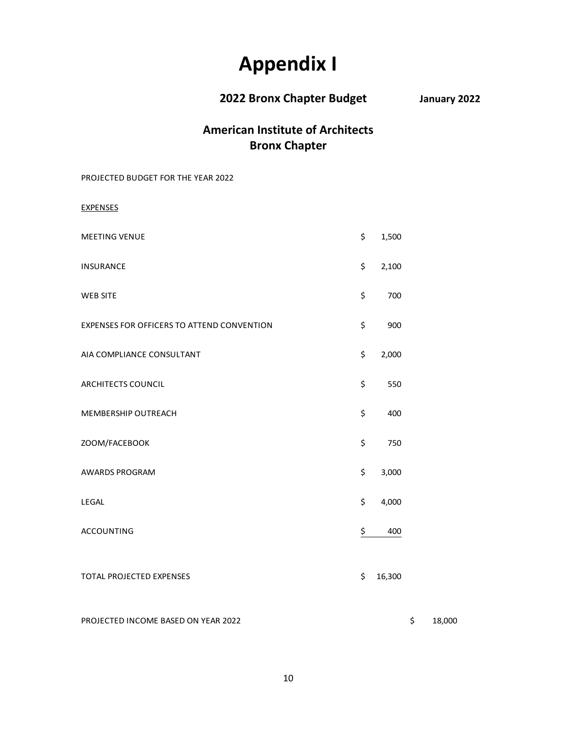# **Appendix I**

**2022 Bronx Chapter Budget January 2022**

## **American Institute of Architects Bronx Chapter**

PROJECTED BUDGET FOR THE YEAR 2022

EXPENSES

| <b>MEETING VENUE</b>                       | \$<br>1,500  |
|--------------------------------------------|--------------|
| <b>INSURANCE</b>                           | \$<br>2,100  |
| <b>WEB SITE</b>                            | \$<br>700    |
| EXPENSES FOR OFFICERS TO ATTEND CONVENTION | \$<br>900    |
| AIA COMPLIANCE CONSULTANT                  | \$<br>2,000  |
| <b>ARCHITECTS COUNCIL</b>                  | \$<br>550    |
| MEMBERSHIP OUTREACH                        | \$<br>400    |
| ZOOM/FACEBOOK                              | \$<br>750    |
| AWARDS PROGRAM                             | \$<br>3,000  |
| LEGAL                                      | \$<br>4,000  |
| <b>ACCOUNTING</b>                          | \$<br>400    |
| TOTAL PROJECTED EXPENSES                   | \$<br>16,300 |

PROJECTED INCOME BASED ON YEAR 2022 \$ 18,000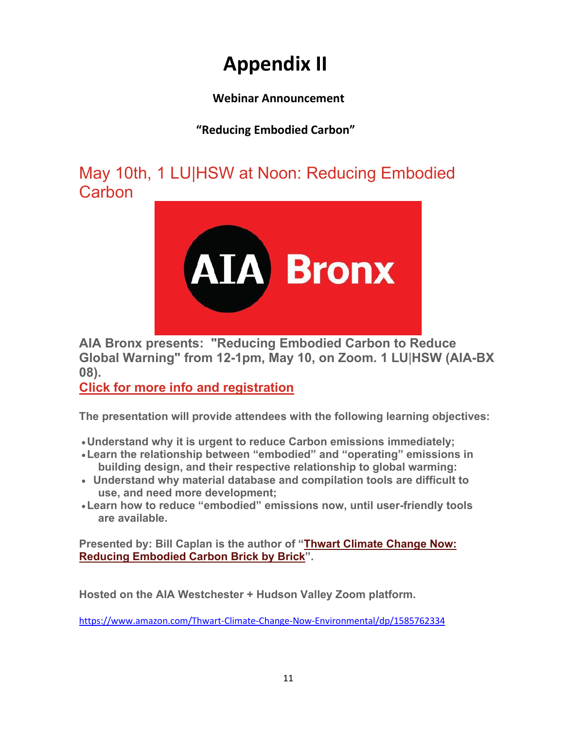# **Appendix II**

## **Webinar Announcement**

## **"Reducing Embodied Carbon"**

May 10th, 1 LU|HSW at Noon: Reducing Embodied **Carbon** 



**AIA Bronx presents: "Reducing Embodied Carbon to Reduce Global Warning" from 12-1pm, May 10, on Zoom. 1 LU**|**HSW (AIA-BX 08).**

**[Click for more info and registration](https://www.aiawhv.org/aia-events/aia-bronx-presentsnbsp-reducing-embodied-carbon-to-reduce-global-warning-embodied-carbon-to-reduce-global-warning)**

**The presentation will provide attendees with the following learning objectives:** 

•**Understand why it is urgent to reduce Carbon emissions immediately;** 

- •**Learn the relationship between "embodied" and "operating" emissions in building design, and their respective relationship to global warming:**
- • **Understand why material database and compilation tools are difficult to use, and need more development;**
- •**Learn how to reduce "embodied" emissions now, until user-friendly tools are available.**

**Presented by: Bill Caplan is the author of ["Thwart Climate Change Now:](https://www.amazon.com/Thwart-Climate-Change-Now-Environmental/dp/1585762334)  [Reducing Embodied Carbon Brick by Brick"](https://www.amazon.com/Thwart-Climate-Change-Now-Environmental/dp/1585762334).**

**Hosted on the AIA Westchester + Hudson Valley Zoom platform.**

<https://www.amazon.com/Thwart-Climate-Change-Now-Environmental/dp/1585762334>